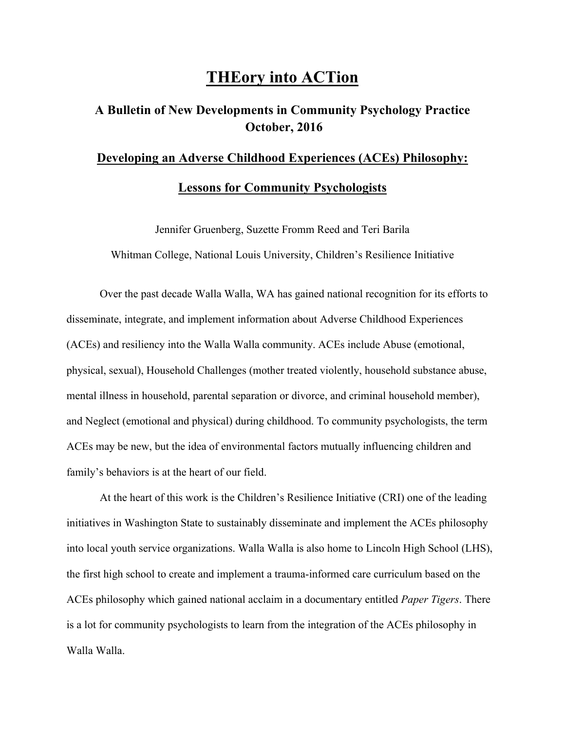## **THEory into ACTion**

## **A Bulletin of New Developments in Community Psychology Practice October, 2016**

## **Developing an Adverse Childhood Experiences (ACEs) Philosophy: Lessons for Community Psychologists**

Jennifer Gruenberg, Suzette Fromm Reed and Teri Barila Whitman College, National Louis University, Children's Resilience Initiative

Over the past decade Walla Walla, WA has gained national recognition for its efforts to disseminate, integrate, and implement information about Adverse Childhood Experiences (ACEs) and resiliency into the Walla Walla community. ACEs include Abuse (emotional, physical, sexual), Household Challenges (mother treated violently, household substance abuse, mental illness in household, parental separation or divorce, and criminal household member), and Neglect (emotional and physical) during childhood. To community psychologists, the term ACEs may be new, but the idea of environmental factors mutually influencing children and family's behaviors is at the heart of our field.

At the heart of this work is the Children's Resilience Initiative (CRI) one of the leading initiatives in Washington State to sustainably disseminate and implement the ACEs philosophy into local youth service organizations. Walla Walla is also home to Lincoln High School (LHS), the first high school to create and implement a trauma-informed care curriculum based on the ACEs philosophy which gained national acclaim in a documentary entitled *Paper Tigers*. There is a lot for community psychologists to learn from the integration of the ACEs philosophy in Walla Walla.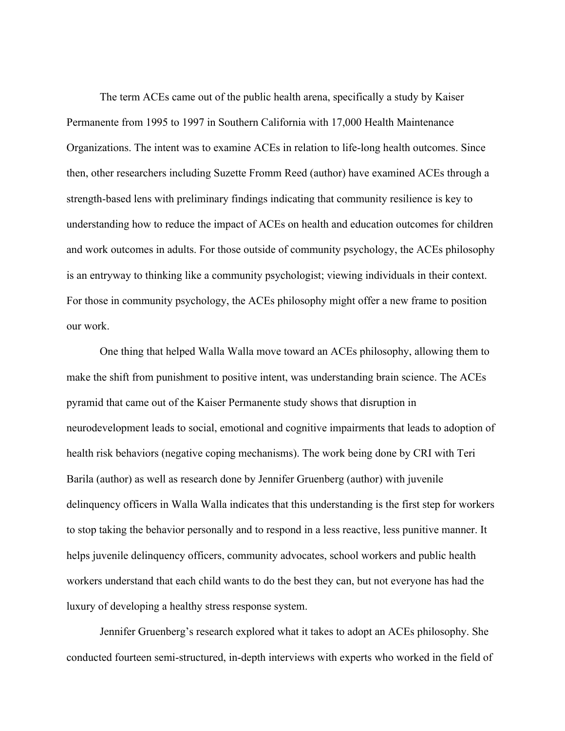The term ACEs came out of the public health arena, specifically a study by Kaiser Permanente from 1995 to 1997 in Southern California with 17,000 Health Maintenance Organizations. The intent was to examine ACEs in relation to life-long health outcomes. Since then, other researchers including Suzette Fromm Reed (author) have examined ACEs through a strength-based lens with preliminary findings indicating that community resilience is key to understanding how to reduce the impact of ACEs on health and education outcomes for children and work outcomes in adults. For those outside of community psychology, the ACEs philosophy is an entryway to thinking like a community psychologist; viewing individuals in their context. For those in community psychology, the ACEs philosophy might offer a new frame to position our work.

One thing that helped Walla Walla move toward an ACEs philosophy, allowing them to make the shift from punishment to positive intent, was understanding brain science. The ACEs pyramid that came out of the Kaiser Permanente study shows that disruption in neurodevelopment leads to social, emotional and cognitive impairments that leads to adoption of health risk behaviors (negative coping mechanisms). The work being done by CRI with Teri Barila (author) as well as research done by Jennifer Gruenberg (author) with juvenile delinquency officers in Walla Walla indicates that this understanding is the first step for workers to stop taking the behavior personally and to respond in a less reactive, less punitive manner. It helps juvenile delinquency officers, community advocates, school workers and public health workers understand that each child wants to do the best they can, but not everyone has had the luxury of developing a healthy stress response system.

Jennifer Gruenberg's research explored what it takes to adopt an ACEs philosophy. She conducted fourteen semi-structured, in-depth interviews with experts who worked in the field of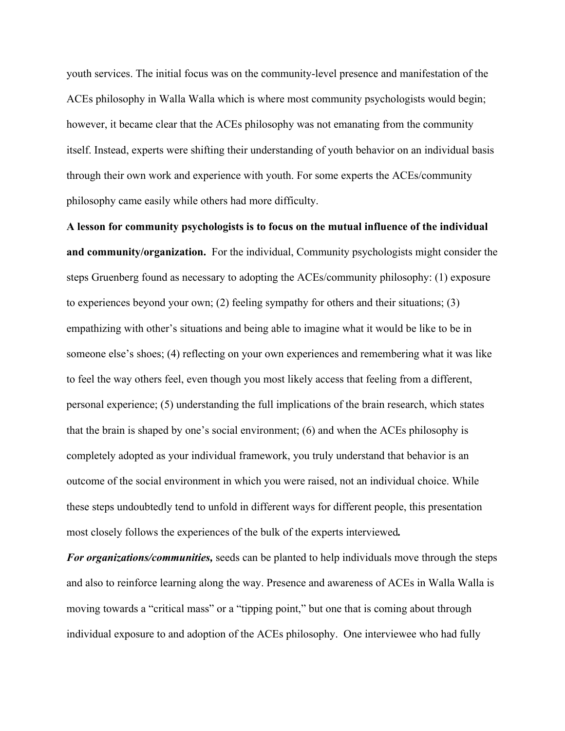youth services. The initial focus was on the community-level presence and manifestation of the ACEs philosophy in Walla Walla which is where most community psychologists would begin; however, it became clear that the ACEs philosophy was not emanating from the community itself. Instead, experts were shifting their understanding of youth behavior on an individual basis through their own work and experience with youth. For some experts the ACEs/community philosophy came easily while others had more difficulty.

**A lesson for community psychologists is to focus on the mutual influence of the individual and community/organization.** For the individual, Community psychologists might consider the steps Gruenberg found as necessary to adopting the ACEs/community philosophy: (1) exposure to experiences beyond your own; (2) feeling sympathy for others and their situations; (3) empathizing with other's situations and being able to imagine what it would be like to be in someone else's shoes; (4) reflecting on your own experiences and remembering what it was like to feel the way others feel, even though you most likely access that feeling from a different, personal experience; (5) understanding the full implications of the brain research, which states that the brain is shaped by one's social environment; (6) and when the ACEs philosophy is completely adopted as your individual framework, you truly understand that behavior is an outcome of the social environment in which you were raised, not an individual choice. While these steps undoubtedly tend to unfold in different ways for different people, this presentation most closely follows the experiences of the bulk of the experts interviewed*.*

*For organizations/communities,* seeds can be planted to help individuals move through the steps and also to reinforce learning along the way. Presence and awareness of ACEs in Walla Walla is moving towards a "critical mass" or a "tipping point," but one that is coming about through individual exposure to and adoption of the ACEs philosophy. One interviewee who had fully